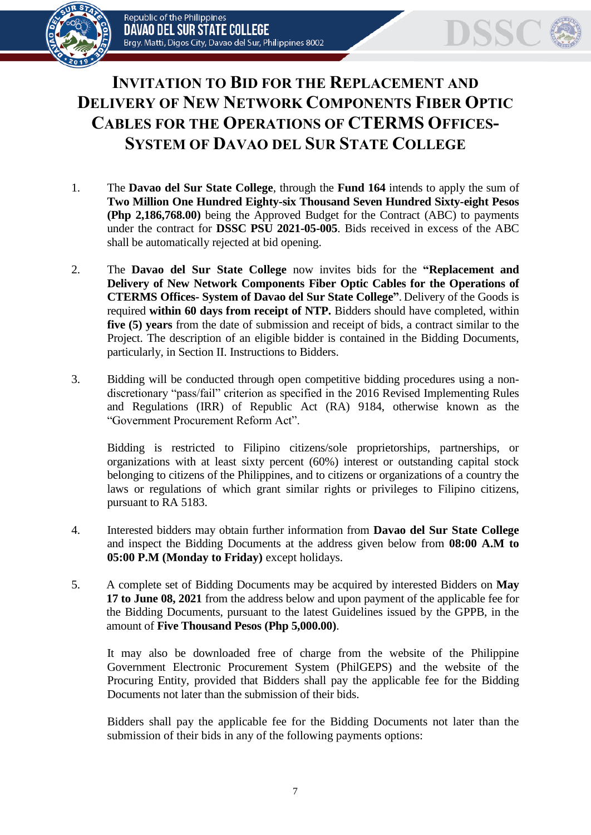

## **INVITATION TO BID FOR THE REPLACEMENT AND DELIVERY OF NEW NETWORK COMPONENTS FIBER OPTIC CABLES FOR THE OPERATIONS OF CTERMS OFFICES-SYSTEM OF DAVAO DEL SUR STATE COLLEGE**

- 1. The **Davao del Sur State College**, through the **Fund 164** intends to apply the sum of **Two Million One Hundred Eighty-six Thousand Seven Hundred Sixty-eight Pesos (Php 2,186,768.00)** being the Approved Budget for the Contract (ABC) to payments under the contract for **DSSC PSU 2021-05-005**. Bids received in excess of the ABC shall be automatically rejected at bid opening.
- 2. The **Davao del Sur State College** now invites bids for the **"Replacement and Delivery of New Network Components Fiber Optic Cables for the Operations of CTERMS Offices- System of Davao del Sur State College"**. Delivery of the Goods is required **within 60 days from receipt of NTP.** Bidders should have completed, within **five (5) years** from the date of submission and receipt of bids, a contract similar to the Project. The description of an eligible bidder is contained in the Bidding Documents, particularly, in Section II. Instructions to Bidders.
- 3. Bidding will be conducted through open competitive bidding procedures using a nondiscretionary "pass/fail" criterion as specified in the 2016 Revised Implementing Rules and Regulations (IRR) of Republic Act (RA) 9184, otherwise known as the "Government Procurement Reform Act".

Bidding is restricted to Filipino citizens/sole proprietorships, partnerships, or organizations with at least sixty percent (60%) interest or outstanding capital stock belonging to citizens of the Philippines, and to citizens or organizations of a country the laws or regulations of which grant similar rights or privileges to Filipino citizens, pursuant to RA 5183.

- 4. Interested bidders may obtain further information from **Davao del Sur State College** and inspect the Bidding Documents at the address given below from **08:00 A.M to 05:00 P.M (Monday to Friday)** except holidays.
- 5. A complete set of Bidding Documents may be acquired by interested Bidders on **May 17 to June 08, 2021** from the address below and upon payment of the applicable fee for the Bidding Documents, pursuant to the latest Guidelines issued by the GPPB, in the amount of **Five Thousand Pesos (Php 5,000.00)**.

It may also be downloaded free of charge from the website of the Philippine Government Electronic Procurement System (PhilGEPS) and the website of the Procuring Entity*,* provided that Bidders shall pay the applicable fee for the Bidding Documents not later than the submission of their bids.

Bidders shall pay the applicable fee for the Bidding Documents not later than the submission of their bids in any of the following payments options: